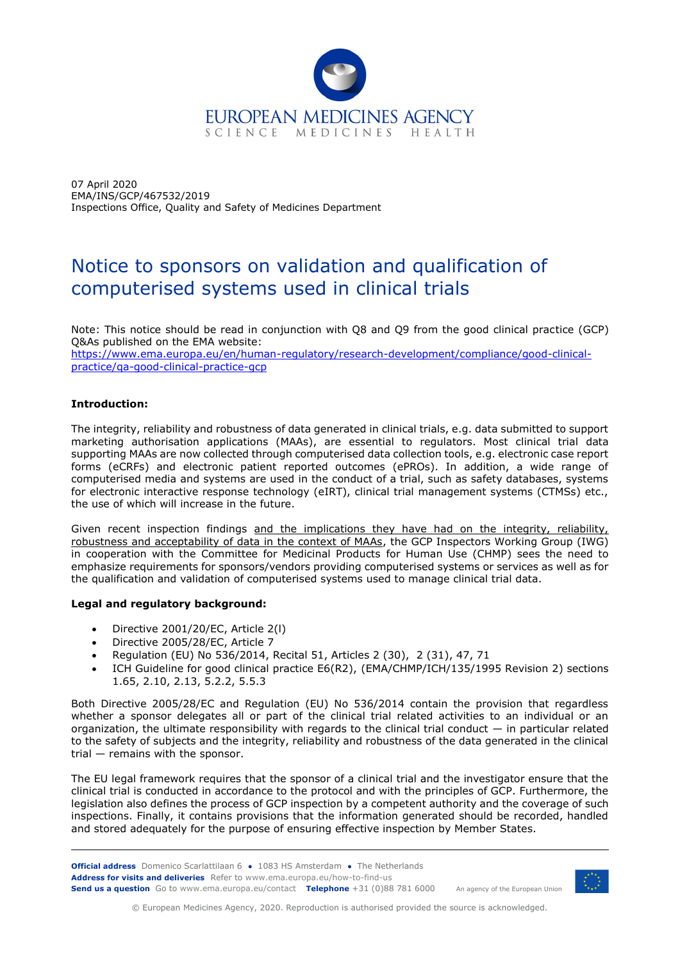

07 April 2020 EMA/INS/GCP/467532/2019 Inspections Office, Quality and Safety of Medicines Department

# Notice to sponsors on validation and qualification of computerised systems used in clinical trials

Note: This notice should be read in conjunction with Q8 and Q9 from the good clinical practice (GCP) Q&As published on the EMA website:

[https://www.ema.europa.eu/en/human-regulatory/research-development/compliance/good-clinical](https://www.ema.europa.eu/en/human-regulatory/research-development/compliance/good-clinical-practice/qa-good-clinical-practice-gcp)[practice/qa-good-clinical-practice-gcp](https://www.ema.europa.eu/en/human-regulatory/research-development/compliance/good-clinical-practice/qa-good-clinical-practice-gcp)

# **Introduction:**

The integrity, reliability and robustness of data generated in clinical trials, e.g. data submitted to support marketing authorisation applications (MAAs), are essential to regulators. Most clinical trial data supporting MAAs are now collected through computerised data collection tools, e.g. electronic case report forms (eCRFs) and electronic patient reported outcomes (ePROs). In addition, a wide range of computerised media and systems are used in the conduct of a trial, such as safety databases, systems for electronic interactive response technology (eIRT), clinical trial management systems (CTMSs) etc., the use of which will increase in the future.

Given recent inspection findings and the implications they have had on the integrity, reliability, robustness and acceptability of data in the context of MAAs, the GCP Inspectors Working Group (IWG) in cooperation with the Committee for Medicinal Products for Human Use (CHMP) sees the need to emphasize requirements for sponsors/vendors providing computerised systems or services as well as for the qualification and validation of computerised systems used to manage clinical trial data.

# **Legal and regulatory background:**

- Directive 2001/20/EC, Article 2(l)
- Directive 2005/28/EC, Article 7
- Regulation (EU) No 536/2014, Recital 51, Articles 2 (30), 2 (31), 47, 71
- ICH Guideline for good clinical practice E6(R2), (EMA/CHMP/ICH/135/1995 Revision 2) sections 1.65, 2.10, 2.13, 5.2.2, 5.5.3

Both Directive 2005/28/EC and Regulation (EU) No 536/2014 contain the provision that regardless whether a sponsor delegates all or part of the clinical trial related activities to an individual or an organization, the ultimate responsibility with regards to the clinical trial conduct — in particular related to the safety of subjects and the integrity, reliability and robustness of the data generated in the clinical trial — remains with the sponsor.

The EU legal framework requires that the sponsor of a clinical trial and the investigator ensure that the clinical trial is conducted in accordance to the protocol and with the principles of GCP. Furthermore, the legislation also defines the process of GCP inspection by a competent authority and the coverage of such inspections. Finally, it contains provisions that the information generated should be recorded, handled and stored adequately for the purpose of ensuring effective inspection by Member States.

**Official address** Domenico Scarlattilaan 6 **●** 1083 HS Amsterdam **●** The Netherlands An agency of the European Union **Address for visits and deliveries** Refer to www.ema.europa.eu/how-to-find-us **Send us a question** Go to www.ema.europa.eu/contact **Telephone** +31 (0)88 781 6000



© European Medicines Agency, 2020. Reproduction is authorised provided the source is acknowledged.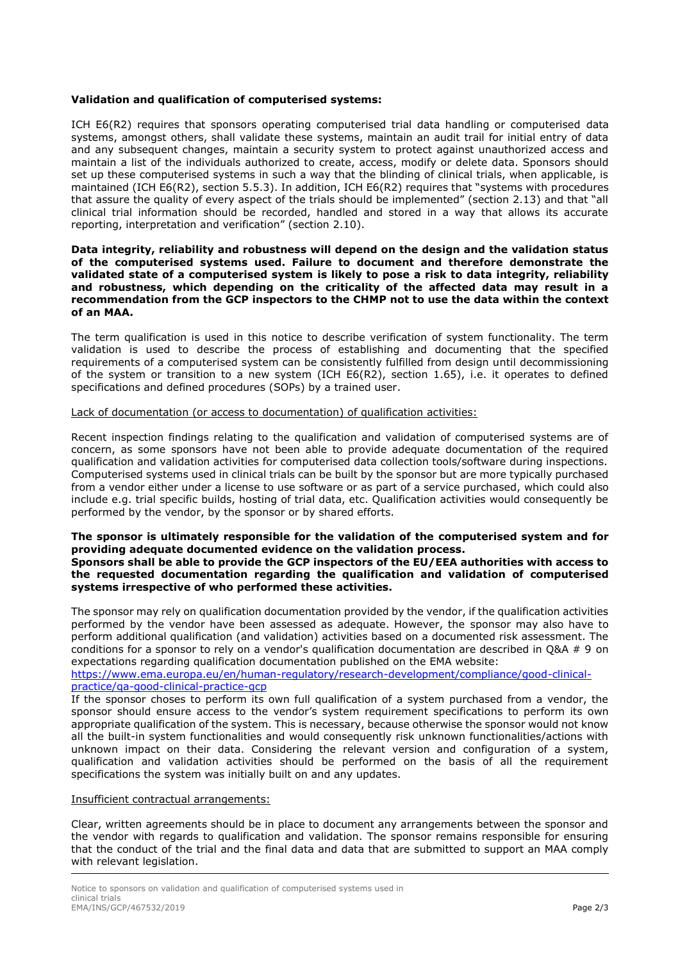# **Validation and qualification of computerised systems:**

ICH E6(R2) requires that sponsors operating computerised trial data handling or computerised data systems, amongst others, shall validate these systems, maintain an audit trail for initial entry of data and any subsequent changes, maintain a security system to protect against unauthorized access and maintain a list of the individuals authorized to create, access, modify or delete data. Sponsors should set up these computerised systems in such a way that the blinding of clinical trials, when applicable, is maintained (ICH E6(R2), section 5.5.3). In addition, ICH E6(R2) requires that "systems with procedures that assure the quality of every aspect of the trials should be implemented" (section 2.13) and that "all clinical trial information should be recorded, handled and stored in a way that allows its accurate reporting, interpretation and verification" (section 2.10).

#### **Data integrity, reliability and robustness will depend on the design and the validation status of the computerised systems used. Failure to document and therefore demonstrate the validated state of a computerised system is likely to pose a risk to data integrity, reliability and robustness, which depending on the criticality of the affected data may result in a recommendation from the GCP inspectors to the CHMP not to use the data within the context of an MAA.**

The term qualification is used in this notice to describe verification of system functionality. The term validation is used to describe the process of establishing and documenting that the specified requirements of a computerised system can be consistently fulfilled from design until decommissioning of the system or transition to a new system (ICH E6(R2), section 1.65), i.e. it operates to defined specifications and defined procedures (SOPs) by a trained user.

## Lack of documentation (or access to documentation) of qualification activities:

Recent inspection findings relating to the qualification and validation of computerised systems are of concern, as some sponsors have not been able to provide adequate documentation of the required qualification and validation activities for computerised data collection tools/software during inspections. Computerised systems used in clinical trials can be built by the sponsor but are more typically purchased from a vendor either under a license to use software or as part of a service purchased, which could also include e.g. trial specific builds, hosting of trial data, etc. Qualification activities would consequently be performed by the vendor, by the sponsor or by shared efforts.

#### **The sponsor is ultimately responsible for the validation of the computerised system and for providing adequate documented evidence on the validation process. Sponsors shall be able to provide the GCP inspectors of the EU/EEA authorities with access to the requested documentation regarding the qualification and validation of computerised**

**systems irrespective of who performed these activities.**  The sponsor may rely on qualification documentation provided by the vendor, if the qualification activities performed by the vendor have been assessed as adequate. However, the sponsor may also have to perform additional qualification (and validation) activities based on a documented risk assessment. The conditions for a sponsor to rely on a vendor's qualification documentation are described in Q&A # 9 on

expectations regarding qualification documentation published on the EMA website:

[https://www.ema.europa.eu/en/human-regulatory/research-development/compliance/good-clinical](https://www.ema.europa.eu/en/human-regulatory/research-development/compliance/good-clinical-practice/qa-good-clinical-practice-gcp)[practice/qa-good-clinical-practice-gcp](https://www.ema.europa.eu/en/human-regulatory/research-development/compliance/good-clinical-practice/qa-good-clinical-practice-gcp)

If the sponsor choses to perform its own full qualification of a system purchased from a vendor, the sponsor should ensure access to the vendor's system requirement specifications to perform its own appropriate qualification of the system. This is necessary, because otherwise the sponsor would not know all the built-in system functionalities and would consequently risk unknown functionalities/actions with unknown impact on their data. Considering the relevant version and configuration of a system, qualification and validation activities should be performed on the basis of all the requirement specifications the system was initially built on and any updates.

## Insufficient contractual arrangements:

Clear, written agreements should be in place to document any arrangements between the sponsor and the vendor with regards to qualification and validation. The sponsor remains responsible for ensuring that the conduct of the trial and the final data and data that are submitted to support an MAA comply with relevant legislation.